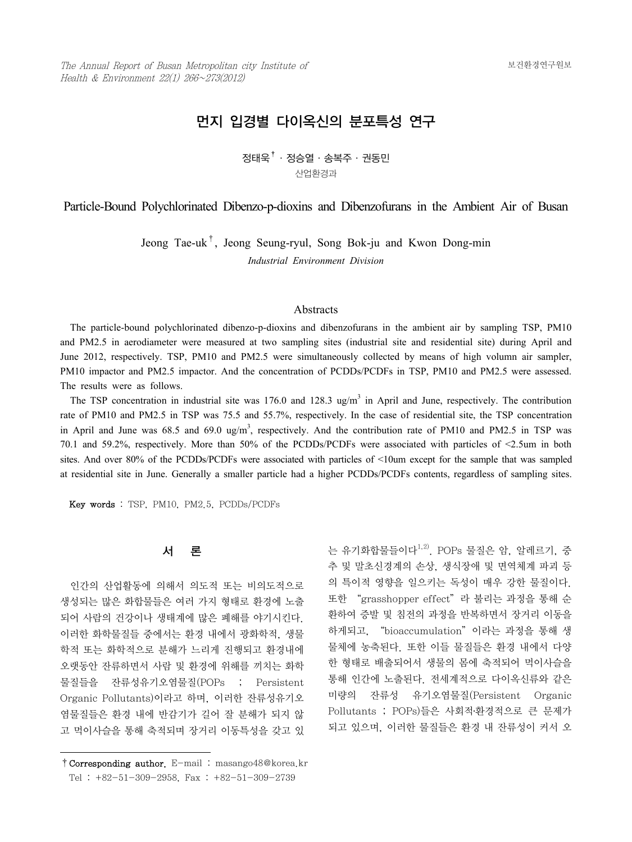# 먼지 입경별 다이옥신의 분포특성 연구

정태욱†·정승열·송복주·권동민 산업환경과

Particle-Bound Polychlorinated Dibenzo-p-dioxins and Dibenzofurans in the Ambient Air of Busan

Jeong Tae-uk<sup>†</sup>, Jeong Seung-ryul, Song Bok-ju and Kwon Dong-min *Industrial Environment Division*

### Abstracts

 The particle-bound polychlorinated dibenzo-p-dioxins and dibenzofurans in the ambient air by sampling TSP, PM10 and PM2.5 in aerodiameter were measured at two sampling sites (industrial site and residential site) during April and June 2012, respectively. TSP, PM10 and PM2.5 were simultaneously collected by means of high volumn air sampler, PM10 impactor and PM2.5 impactor. And the concentration of PCDDs/PCDFs in TSP, PM10 and PM2.5 were assessed. The results were as follows.

The TSP concentration in industrial site was  $176.0$  and  $128.3$  ug/m<sup>3</sup> in April and June, respectively. The contribution rate of PM10 and PM2.5 in TSP was 75.5 and 55.7%, respectively. In the case of residential site, the TSP concentration in April and June was 68.5 and 69.0 ug/m<sup>3</sup>, respectively. And the contribution rate of PM10 and PM2.5 in TSP was 70.1 and 59.2%, respectively. More than 50% of the PCDDs/PCDFs were associated with particles of <2.5um in both sites. And over 80% of the PCDDs/PCDFs were associated with particles of <10um except for the sample that was sampled at residential site in June. Generally a smaller particle had a higher PCDDs/PCDFs contents, regardless of sampling sites.

Key words : TSP, PM10, PM2.5, PCDDs/PCDFs

### 서 론

 인간의 산업활동에 의해서 의도적 또는 비의도적으로 생성되는 많은 화합물들은 여러 가지 형태로 환경에 노출 되어 사람의 건강이나 생태계에 많은 폐해를 야기시킨다. 이러한 화학물질들 중에서는 환경 내에서 광화학적, 생물 학적 또는 화학적으로 분해가 느리게 진행되고 환경내에 오랫동안 잔류하면서 사람 및 환경에 위해를 끼치는 화학 물질들을 잔류성유기오염물질(POPs ; Persistent Organic Pollutants)이라고 하며, 이러한 잔류성유기오 염물질들은 환경 내에 반감기가 길어 잘 분해가 되지 않 고 먹이사슬을 통해 축적되며 장거리 이동특성을 갖고 있 는 유기화합물들이다 $^{1,2)}$ . POPs 물질은 암, 알레르기, 중 추 및 말초신경계의 손상, 생식장애 및 면역체계 파괴 등 의 특이적 영향을 일으키는 독성이 매우 강한 물질이다. 또한 "grasshopper effect" 라 불리는 과정을 통해 순 환하여 증발 및 침전의 과정을 반복하면서 장거리 이동을 하게되고, "bioaccumulation"이라는 과정을 통해 생 물체에 농축된다. 또한 이들 물질들은 환경 내에서 다양 한 형태로 배출되어서 생물의 몸에 축적되어 먹이사슬을 통해 인간에 노출된다. 전세계적으로 다이옥신류와 같은 미량의 잔류성 유기오염물질(Persistent Organic Pollutants ; POPs)들은 사회적․환경적으로 큰 문제가 되고 있으며, 이러한 물질들은 환경 내 잔류성이 커서 오

<sup>†</sup>Corresponding author. E-mail : masango48@korea.kr Tel : +82-51-309-2958, Fax : +82-51-309-2739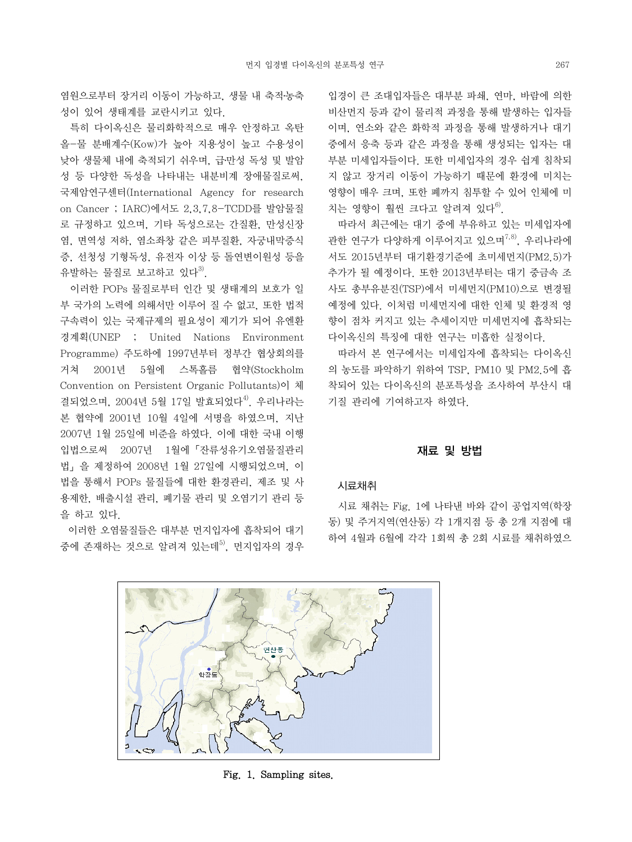염원으로부터 장거리 이동이 가능하고, 생물 내 축적․농축 성이 있어 생태계를 교란시키고 있다.

 특히 다이옥신은 물리화학적으로 매우 안정하고 옥탄 올-물 분배계수(Kow)가 높아 지용성이 높고 수용성이 낮아 생물체 내에 축적되기 쉬우며, 급․만성 독성 및 발암 성 등 다양한 독성을 나타내는 내분비계 장애물질로써, 국제암연구센터(International Agency for research on Cancer ; IARC)에서도 2,3,7,8-TCDD를 발암물질 로 규정하고 있으며, 기타 독성으로는 간질환, 만성신장 염, 면역성 저하, 염소좌창 같은 피부질환, 자궁내막증식 증, 선청성 기형독성, 유전자 이상 등 돌연변이원성 등을 유발하는 물질로 보고하고 있다 $^{3)}$ .

 이러한 POPs 물질로부터 인간 및 생태계의 보호가 일 부 국가의 노력에 의해서만 이루어 질 수 없고, 또한 법적 구속력이 있는 국제규제의 필요성이 제기가 되어 유엔환 경계획(UNEP ; United Nations Environment Programme) 주도하에 1997년부터 정부간 협상회의를 거쳐 2001년 5월에 스톡홀름 협약(Stockholm Convention on Persistent Organic Pollutants)이 체 결되었으며, 2004년 5월 17일 발효되었다<sup>4)</sup> 우리나라는 본 협약에 2001년 10월 4일에 서명을 하였으며, 지난 2007년 1월 25일에 비준을 하였다. 이에 대한 국내 이행 입법으로써 2007년 1월에「잔류성유기오염물질관리 법」을 제정하여 2008년 1월 27일에 시행되었으며, 이 법을 통해서 POPs 물질들에 대한 환경관리, 제조 및 사 용제한, 배출시설 관리, 폐기물 관리 및 오염기기 관리 등 을 하고 있다.

 이러한 오염물질들은 대부분 먼지입자에 흡착되어 대기 중에 존재하는 것으로 알려져 있는데<sup>5)</sup>, 먼지입자의 경우 입경이 큰 조대입자들은 대부분 파쇄, 연마, 바람에 의한 비산먼지 등과 같이 물리적 과정을 통해 발생하는 입자들 이며, 연소와 같은 화학적 과정을 통해 발생하거나 대기 중에서 응축 등과 같은 과정을 통해 생성되는 입자는 대 부분 미세입자들이다. 또한 미세입자의 경우 쉽게 침착되 지 않고 장거리 이동이 가능하기 때문에 환경에 미치는 영향이 매우 크며, 또한 폐까지 침투할 수 있어 인체에 미 치는 영향이 훨씬 크다고 알려져 있다 $^{6}$ .

 따라서 최근에는 대기 중에 부유하고 있는 미세입자에 관한 연구가 다양하게 이루어지고 있으며<sup>7,8)</sup>, 우리나라에 서도 2015년부터 대기환경기준에 초미세먼지(PM2.5)가 추가가 될 예정이다. 또한 2013년부터는 대기 중금속 조 사도 총부유분진(TSP)에서 미세먼지(PM10)으로 변경될 예정에 있다. 이처럼 미세먼지에 대한 인체 및 환경적 영 향이 점차 커지고 있는 추세이지만 미세먼지에 흡착되는 다이옥신의 특징에 대한 연구는 미흡한 실정이다.

 따라서 본 연구에서는 미세입자에 흡착되는 다이옥신 의 농도를 파악하기 위하여 TSP, PM10 및 PM2.5에 흡 착되어 있는 다이옥신의 분포특성을 조사하여 부산시 대 기질 관리에 기여하고자 하였다.

#### 재료 및 방법

### 시료채취

 시료 채취는 Fig. 1에 나타낸 바와 같이 공업지역(학장 동) 및 주거지역(연산동) 각 1개지점 등 총 2개 지점에 대 하여 4월과 6월에 각각 1회씩 총 2회 시료를 채취하였으



Fig. 1. Sampling sites.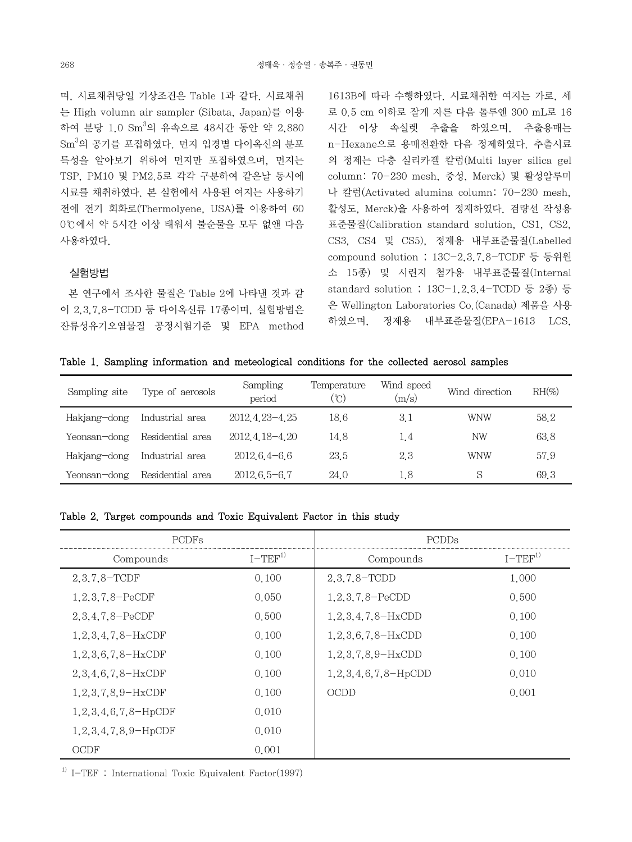며, 시료채취당일 기상조건은 Table 1과 같다. 시료채취 는 High volumn air sampler (Sibata, Japan)를 이용 하여 분당 1.0 Sm<sup>3</sup>의 유속으로 48시간 동안 약 2,880 Sm $^3$ 의 공기를 포집하였다. 먼지 입경별 다이옥신의 분포 특성을 알아보기 위하여 먼지만 포집하였으며, 먼지는 TSP, PM10 및 PM2.5로 각각 구분하여 같은날 동시에 시료를 채취하였다. 본 실험에서 사용된 여지는 사용하기 전에 전기 회화로(Thermolyene, USA)를 이용하여 60 0℃에서 약 5시간 이상 태워서 불순물을 모두 없앤 다음 사용하였다.

# 실험방법

 본 연구에서 조사한 물질은 Table 2에 나타낸 것과 같 이 2,3,7,8-TCDD 등 다이옥신류 17종이며, 실험방법은 잔류성유기오염물질 공정시험기준 및 EPA method 1613B에 따라 수행하였다. 시료채취한 여지는 가로, 세 로 0.5 cm 이하로 잘게 자른 다음 톨루엔 300 mL로 16 시간 이상 속실렛 추출을 하였으며, 추출용매는 n-Hexane으로 용매전환한 다음 정제하였다. 추출시료 의 정제는 다층 실리카겔 칼럼(Multi layer silica gel column: 70-230 mesh, 중성, Merck) 및 활성알루미 나 칼럼(Activated alumina column: 70-230 mesh, 활성도, Merck)을 사용하여 정제하였다. 검량선 작성용 표준물질(Calibration standard solution, CS1, CS2, CS3, CS4 및 CS5), 정제용 내부표준물질(Labelled compound solution ; 13C-2,3,7,8-TCDF 등 동위원 소 15종) 및 시린지 첨가용 내부표준물질(Internal standard solution ; 13C-1,2,3,4-TCDD 등 2종) 등 은 Wellington Laboratories Co.(Canada) 제품을 사용 하였으며, 정제용 내부표준물질(EPA-1613 LCS,

Table 1. Sampling information and meteological conditions for the collected aerosol samples

| Sampling site | Type of aerosols | Sampling<br>period | Temperature<br>(°C | Wind speed<br>(m/s) | Wind direction | $RH(\%)$ |
|---------------|------------------|--------------------|--------------------|---------------------|----------------|----------|
| Hakjang-dong  | Industrial area  | 2012.4.23-4.25     | 18.6               | 3.1                 | WNW            | 58.2     |
| Yeonsan-dong  | Residential area | 2012 4 18 - 4 20   | 14.8               | 1.4                 | ΝW             | 63.8     |
| Hakjang-dong  | Industrial area  | $2012.64 - 6.6$    | 23.5               | 2.3                 | <b>WNW</b>     | 57.9     |
| Yeonsan-dong  | Residential area | $2012.6.5 - 6.7$   | 24.0               | 1.8                 | S              | 69.3     |

#### Table 2. Target compounds and Toxic Equivalent Factor in this study

| <b>PCDFs</b>                  |          | <b>PCDDs</b>                 |          |  |
|-------------------------------|----------|------------------------------|----------|--|
| Compounds                     | $I-TEF1$ | Compounds                    | $I-TEF1$ |  |
| $2,3,7,8-TCDF$                | 0.100    | $2,3,7,8-$ TCDD              | 1,000    |  |
| $1, 2, 3, 7, 8 - PeCDF$       | 0.050    | $1, 2, 3, 7, 8-PeCDD$        | 0.500    |  |
| $2,3,4,7,8-PeCDF$             | 0.500    | $1, 2, 3, 4, 7, 8-HxCDD$     | 0.100    |  |
| $1, 2, 3, 4, 7, 8-HxCDF$      | 0.100    | $1, 2, 3, 6, 7, 8-HxCDD$     | 0.100    |  |
| $1, 2, 3, 6, 7, 8-HxCDF$      | 0.100    | $1, 2, 3, 7, 8, 9$ – HxCDD   | 0.100    |  |
| $2,3,4,6,7,8-HxCDF$           | 0.100    | $1, 2, 3, 4, 6, 7, 8$ -HpCDD | 0.010    |  |
| $1, 2, 3, 7, 8, 9$ – HxCDF    | 0.100    | OCDD                         | 0.001    |  |
| $1, 2, 3, 4, 6, 7, 8$ -HpCDF  | 0.010    |                              |          |  |
| $1, 2, 3, 4, 7, 8, 9$ – HpCDF | 0.010    |                              |          |  |
| OCDF                          | 0.001    |                              |          |  |

<sup>1)</sup> I-TEF : International Toxic Equivalent Factor(1997)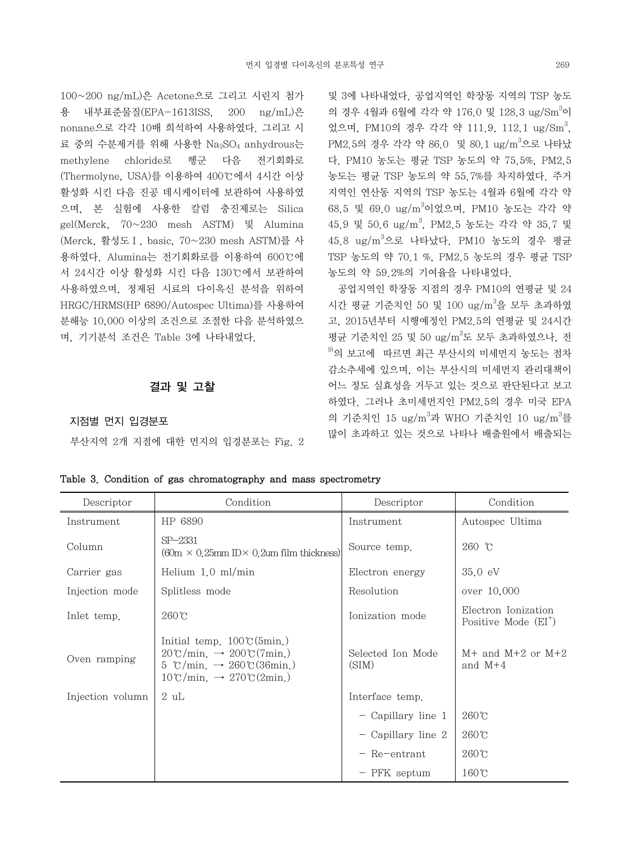100~200 ng/mL)은 Acetone으로 그리고 시린지 첨가 용 내부표준물질(EPA-1613ISS, 200 ng/mL)은 nonane으로 각각 10배 희석하여 사용하였다. 그리고 시 료 중의 수분제거를 위해 사용한 Na<sub>2</sub>SO<sub>4</sub> anhydrous는 methylene chloride로 헹군 다음 전기회화로 (Thermolyne, USA)를 이용하여 400℃에서 4시간 이상 활성화 시킨 다음 진공 데시케이터에 보관하여 사용하였 으며, 본 실험에 사용한 칼럼 충진제로는 Silica gel(Merck, 70~230 mesh ASTM) 및 Alumina (Merck, 활성도Ⅰ, basic, 70~230 mesh ASTM)를 사 용하였다. Alumina는 전기회화로를 이용하여 600℃에 서 24시간 이상 활성화 시킨 다음 130℃에서 보관하여 사용하였으며, 정제된 시료의 다이옥신 분석을 위하여 HRGC/HRMS(HP 6890/Autospec Ultima)를 사용하여 분해능 10,000 이상의 조건으로 조절한 다음 분석하였으 며, 기기분석 조건은 Table 3에 나타내었다.

# 결과 및 고찰

#### 지점별 먼지 입경분포

부산지역 2개 지점에 대한 먼지의 입경분포는 Fig. 2

및 3에 나타내었다. 공업지역인 학장동 지역의 TSP 농도 의 경우 4월과 6월에 각각 약 176.0 및 128.3 ug/Sm<sup>3</sup>이 었으며, PM10의 경우 각각 약 111.9, 112.1 ug/Sm<sup>3</sup>, PM2.5의 경우 각각 약 86.0 및 80.1 ug/m<sup>3</sup>으로 나타났 다. PM10 농도는 평균 TSP 농도의 약 75.5%, PM2.5 농도는 평균 TSP 농도의 약 55.7%를 차지하였다. 주거 지역인 연산동 지역의 TSP 농도는 4월과 6월에 각각 약 68.5 및 69.0 ug/m<sup>3</sup>이었으며, PM10 농도는 각각 약 45.9 및 50.6 ug/m<sup>3</sup> , PM2.5 농도는 각각 약 35.7 및 45.8 ug/m<sup>3</sup>으로 나타났다. PM10 농도의 경우 평균 TSP 농도의 약 70.1 %, PM2.5 농도의 경우 평균 TSP 농도의 약 59.2%의 기여율을 나타내었다.

 공업지역인 학장동 지점의 경우 PM10의 연평균 및 24 시간 평균 기준치인 50 및 100 ug/m<sup>3</sup>을 모두 초과하였 고, 2015년부터 시행예정인 PM2.5의 연평균 및 24시간 평균 기준치인 25 및 50 ug/m<sup>3</sup>도 모두 초과하였으나, 전  $^{9}$ 의 보고에 따르면 최근 부산시의 미세먼지 농도는 점차 감소추세에 있으며, 이는 부산시의 미세먼지 관리대책이 어느 정도 실효성을 거두고 있는 것으로 판단된다고 보고 하였다. 그러나 초미세먼지인 PM2.5의 경우 미국 EPA 의 기준치인 15 ug/m $^3$ 과 WHO 기준치인 10 ug/m $^3$ 를 많이 초과하고 있는 것으로 나타나 배출원에서 배출되는

| Descriptor       | Condition                                                                                                                                                                                                               | Descriptor                 | Condition                                     |  |
|------------------|-------------------------------------------------------------------------------------------------------------------------------------------------------------------------------------------------------------------------|----------------------------|-----------------------------------------------|--|
| Instrument       | HP 6890                                                                                                                                                                                                                 | Instrument                 | Autospec Ultima                               |  |
| Column           | $SP-2331$<br>$(60m \times 0.25mm \text{ID} \times 0.2mm \text{ film thickness})$                                                                                                                                        | Source temp.               | $260$ °C                                      |  |
| Carrier gas      | Helium $1.0$ ml/min                                                                                                                                                                                                     | Electron energy            | $35.0 \text{ eV}$                             |  |
| Injection mode   | Splitless mode                                                                                                                                                                                                          | Resolution                 | over 10,000                                   |  |
| Inlet temp.      | $260^{\circ}$ C                                                                                                                                                                                                         | Ionization mode            | Electron Ionization<br>Positive Mode $(EI^+)$ |  |
| Oven ramping     | Initial temp. $100\degree$ (5min.)<br>$20\degree\text{C/min.} \rightarrow 200\degree\text{C (7min.)}$<br>5 °C/min. $\rightarrow$ 260°C(36min.)<br>$10\degree\text{C/min.} \rightarrow 270\degree\text{C}(2\text{min.})$ | Selected Ion Mode<br>(SIM) | $M+$ and $M+2$ or $M+2$<br>and $M+4$          |  |
| Injection volumn | $2 \mathrm{uL}$                                                                                                                                                                                                         | Interface temp.            |                                               |  |
|                  |                                                                                                                                                                                                                         | $-$ Capillary line 1       | $260^{\circ}$ C                               |  |
|                  |                                                                                                                                                                                                                         | $-$ Capillary line 2       | $260^{\circ}$ C                               |  |
|                  |                                                                                                                                                                                                                         | $-$ Re-entrant             | $260^{\circ}$ C                               |  |
|                  |                                                                                                                                                                                                                         | - PFK septum               | $160^{\circ}$ C                               |  |

Table 3. Condition of gas chromatography and mass spectrometry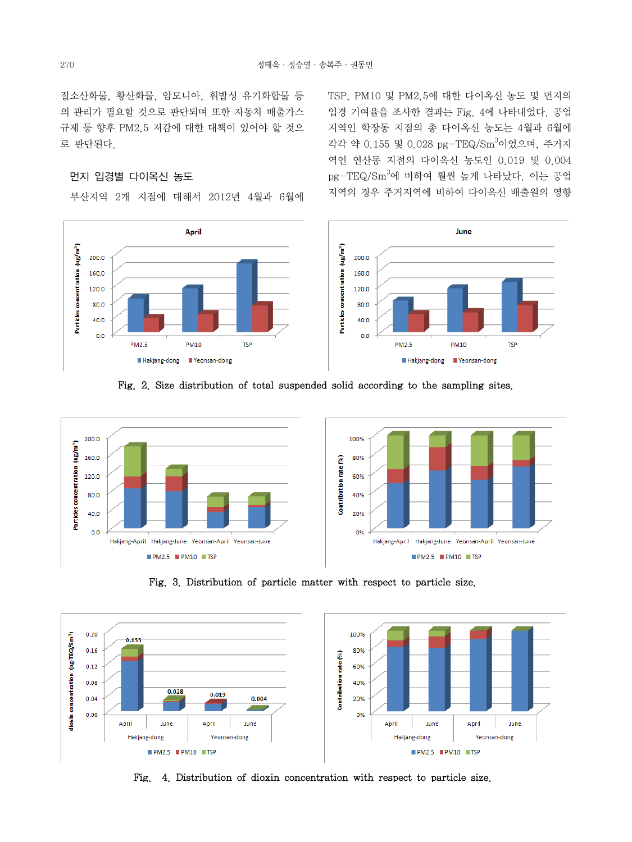질소산화물, 황산화물, 암모니아, 휘발성 유기화합물 등 의 관리가 필요할 것으로 판단되며 또한 자동차 배출가스 규제 등 향후 PM2.5 저감에 대한 대책이 있어야 할 것으 로 판단된다.

### 먼지 입경별 다이옥신 농도

부산지역 2개 지점에 대해서 2012년 4월과 6월에



TSP, PM10 및 PM2.5에 대한 다이옥신 농도 및 먼지의 입경 기여율을 조사한 결과는 Fig. 4에 나타내었다. 공업 지역인 학장동 지점의 총 다이옥신 농도는 4월과 6월에 각각 약 0.155 및 0.028 pg-TEQ/Sm<sup>3</sup>이었으며, 주거지 역인 연산동 지점의 다이옥신 농도인 0.019 및 0.004 pg-TEQ/Sm<sup>3</sup>에 비하여 훨씬 높게 나타났다. 이는 공업 지역의 경우 주거지역에 비하여 다이옥신 배출원의 영향







Fig. 3. Distribution of particle matter with respect to particle size.



Fig. 4. Distribution of dioxin concentration with respect to particle size.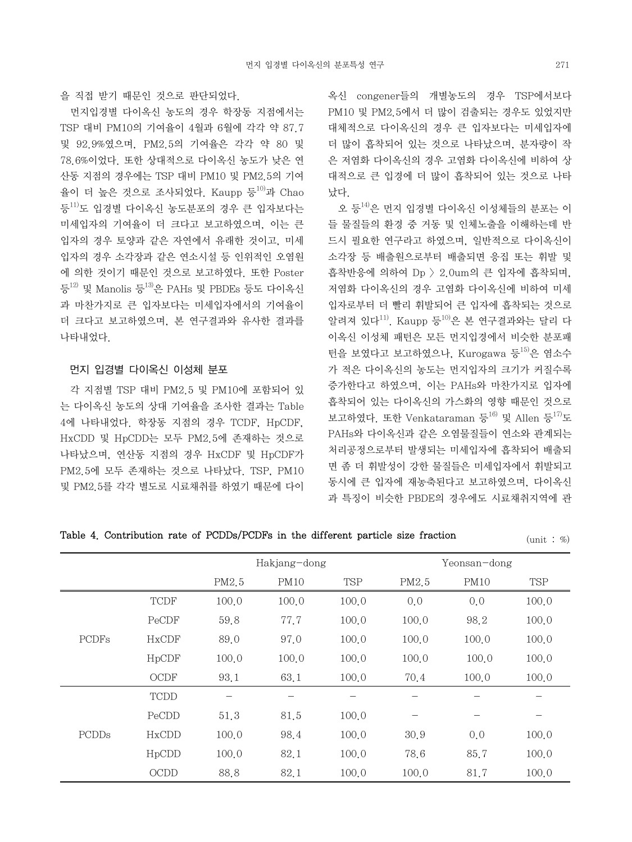먼지입경별 다이옥신 농도의 경우 학장동 지점에서는 TSP 대비 PM10의 기여율이 4월과 6월에 각각 약 87.7 및 92.9%였으며, PM2.5의 기여율은 각각 약 80 및 78.6%이었다. 또한 상대적으로 다이옥신 농도가 낮은 연 산동 지점의 경우에는 TSP 대비 PM10 및 PM2.5의 기여 율이 더 높은 것으로 조사되었다. Kaupp 등 $^{10)}$ 과 Chao 등<sup>11)</sup>도 입경별 다이옥신 농도분포의 경우 큰 입자보다는 미세입자의 기여율이 더 크다고 보고하였으며, 이는 큰 입자의 경우 토양과 같은 자연에서 유래한 것이고, 미세 입자의 경우 소각장과 같은 연소시설 등 인위적인 오염원 에 의한 것이기 때문인 것으로 보고하였다. 또한 Poster 등 $^{12)}$  및 Manolis 등 $^{13}$ 은 PAHs 및 PBDEs 등도 다이옥신 과 마찬가지로 큰 입자보다는 미세입자에서의 기여율이 더 크다고 보고하였으며, 본 연구결과와 유사한 결과를 나타내었다.

# 먼지 입경별 다이옥신 이성체 분포

 각 지점별 TSP 대비 PM2.5 및 PM10에 포함되어 있 는 다이옥신 농도의 상대 기여율을 조사한 결과는 Table 4에 나타내었다. 학장동 지점의 경우 TCDF, HpCDF, HxCDD 및 HpCDD는 모두 PM2.5에 존재하는 것으로 나타났으며, 연산동 지점의 경우 HxCDF 및 HpCDF가 PM2.5에 모두 존재하는 것으로 나타났다. TSP, PM10 및 PM2.5를 각각 별도로 시료채취를 하였기 때문에 다이 옥신 congener들의 개별농도의 경우 TSP에서보다 PM10 및 PM2.5에서 더 많이 검출되는 경우도 있었지만 대체적으로 다이옥신의 경우 큰 입자보다는 미세입자에 더 많이 흡착되어 있는 것으로 나타났으며, 분자량이 작 은 저염화 다이옥신의 경우 고염화 다이옥신에 비하여 상 대적으로 큰 입경에 더 많이 흡착되어 있는 것으로 나타 났다.

 오 등14)은 먼지 입경별 다이옥신 이성체들의 분포는 이 들 물질들의 환경 중 거동 및 인체노출을 이해하는데 반 드시 필요한 연구라고 하였으며, 일반적으로 다이옥신이 소각장 등 배출원으로부터 배출되면 응집 또는 휘발 및 흡착반응에 의하여 Dp > 2.0um의 큰 입자에 흡착되며, 저염화 다이옥신의 경우 고염화 다이옥신에 비하여 미세 입자로부터 더 빨리 휘발되어 큰 입자에 흡착되는 것으로 알려져 있다11). Kaupp 등10)은 본 연구결과와는 달리 다 이옥신 이성체 패턴은 모든 먼지입경에서 비슷한 분포패 턴을 보였다고 보고하였으나, Kurogawa 등 $^{15)}$ 은 염소수 가 적은 다이옥신의 농도는 먼지입자의 크기가 커질수록 증가한다고 하였으며, 이는 PAHs와 마찬가지로 입자에 흡착되어 있는 다이옥신의 가스화의 영향 때문인 것으로 보고하였다. 또한 Venkataraman 등<sup>16)</sup> 및 Allen 등<sup>17)</sup>도 PAHs와 다이옥신과 같은 오염물질들이 연소와 관계되는 처리공정으로부터 발생되는 미세입자에 흡착되어 배출되 면 좀 더 휘발성이 강한 물질들은 미세입자에서 휘발되고 동시에 큰 입자에 재농축된다고 보고하였으며, 다이옥신 과 특징이 비슷한 PBDE의 경우에도 시료채취지역에 관

Table 4. Contribution rate of PCDDs/PCDFs in the different particle size fraction (unit : %)

|              |              |       | Hakjang-dong |            |       | Yeonsan-dong |       |
|--------------|--------------|-------|--------------|------------|-------|--------------|-------|
|              |              | PM2.5 | <b>PM10</b>  | <b>TSP</b> | PM2.5 | <b>PM10</b>  | TSP   |
| <b>PCDFs</b> | <b>TCDF</b>  | 100.0 | 100.0        | 100.0      | 0,0   | 0,0          | 100.0 |
|              | PeCDF        | 59.8  | 77.7         | 100.0      | 100.0 | 98.2         | 100.0 |
|              | <b>HxCDF</b> | 89.0  | 97.0         | 100.0      | 100.0 | 100.0        | 100.0 |
|              | HpCDF        | 100.0 | 100.0        | 100.0      | 100.0 | 100.0        | 100.0 |
|              | OCDF         | 93.1  | 63.1         | 100.0      | 70.4  | 100.0        | 100.0 |
| PCDDs        | <b>TCDD</b>  |       |              |            |       |              |       |
|              | PeCDD        | 51.3  | 81.5         | 100.0      |       |              |       |
|              | HxCDD        | 100.0 | 98.4         | 100.0      | 30.9  | 0.0          | 100.0 |
|              | HpCDD        | 100.0 | 82.1         | 100.0      | 78.6  | 85.7         | 100.0 |
|              | <b>OCDD</b>  | 88.8  | 82.1         | 100.0      | 100.0 | 81.7         | 100.0 |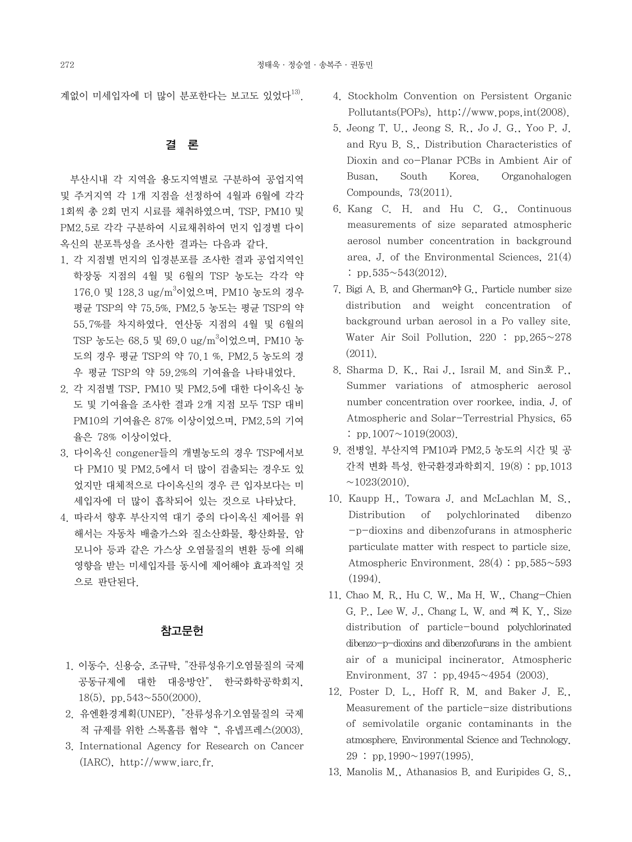계없이 미세입자에 더 많이 분포한다는 보고도 있었다<sup>13)</sup>.

# 결 론

 부산시내 각 지역을 용도지역별로 구분하여 공업지역 및 주거지역 각 1개 지점을 선정하여 4월과 6월에 각각 1회씩 총 2회 먼지 시료를 채취하였으며, TSP, PM10 및 PM2.5로 각각 구분하여 시료채취하여 먼지 입경별 다이 옥신의 분포특성을 조사한 결과는 다음과 같다.

- 1. 각 지점별 먼지의 입경분포를 조사한 결과 공업지역인 학장동 지점의 4월 및 6월의 TSP 농도는 각각 약 176.0 및 128.3 ug/m<sup>3</sup>이었으며, PM10 농도의 경우 평균 TSP의 약 75.5%, PM2.5 농도는 평균 TSP의 약 55.7%를 차지하였다. 연산동 지점의 4월 및 6월의 TSP 농도는 68.5 및 69.0 ug/m<sup>3</sup>이었으며, PM10 농 도의 경우 평균 TSP의 약 70.1 %, PM2.5 농도의 경 우 평균 TSP의 약 59.2%의 기여율을 나타내었다.
- 2. 각 지점별 TSP, PM10 및 PM2.5에 대한 다이옥신 농 도 및 기여율을 조사한 결과 2개 지점 모두 TSP 대비 PM10의 기여율은 87% 이상이었으며, PM2.5의 기여 율은 78% 이상이었다.
- 3. 다이옥신 congener들의 개별농도의 경우 TSP에서보 다 PM10 및 PM2.5에서 더 많이 검출되는 경우도 있 었지만 대체적으로 다이옥신의 경우 큰 입자보다는 미 세입자에 더 많이 흡착되어 있는 것으로 나타났다.
- 4. 따라서 향후 부산지역 대기 중의 다이옥신 제어를 위 해서는 자동차 배출가스와 질소산화물, 황산화물, 암 모니아 등과 같은 가스상 오염물질의 변환 등에 의해 영향을 받는 미세입자를 동시에 제어해야 효과적일 것 으로 판단된다.

#### 참고문헌

- 1. 이동수, 신용승, 조규탁, "잔류성유기오염물질의 국제 공동규제에 대한 대응방안", 한국화학공학회지, 18(5), pp.  $543 \sim 550(2000)$ .
- 2. 유엔환경계획(UNEP), "잔류성유기오염물질의 국제 적 규제를 위한 스톡홀름 협약", 유넵프레스(2003).
- 3. International Agency for Research on Cancer (IARC), http://www.iarc.fr.
- 4. Stockholm Convention on Persistent Organic Pollutants(POPs), http://www.pops.int(2008).
- 5. Jeong T. U., Jeong S. R., Jo J. G., Yoo P. J. and Ryu B. S., Distribution Characteristics of Dioxin and co-Planar PCBs in Ambient Air of Busan, South Korea. Organohalogen Compounds, 73(2011).
- 6. Kang C. H. and Hu C. G., Continuous measurements of size separated atmospheric aerosol number concentration in background area. J. of the Environmental Sciences, 21(4) : pp.535~543(2012).
- 7. Bigi A. B. and Gherman야 G., Particle number size distribution and weight concentration of background urban aerosol in a Po valley site. Water Air Soil Pollution, 220 : pp.265~278 (2011).
- 8. Sharma D. K., Rai J., Israil M. and Sin호 P., Summer variations of atmospheric aerosol number concentration over roorkee, india. J. of Atmospheric and Solar-Terrestrial Physics, 65 : pp.1007 $\sim$ 1019(2003).
- 9. 전병일. 부산지역 PM10과 PM2.5 농도의 시간 및 공 간적 변화 특성. 한국환경과학회지. 19(8) : pp.1013  $\sim$ 1023(2010).
- 10. Kaupp H., Towara J. and McLachlan M. S., Distribution of polychlorinated dibenzo -p-dioxins and dibenzofurans in atmospheric particulate matter with respect to particle size. Atmospheric Environment. 28(4) : pp.585~593 (1994).
- 11. Chao M. R., Hu C. W., Ma H. W., Chang-Chien G. P., Lee W. J., Chang L. W. and 쪄 K. Y., Size distribution of particle-bound polychlorinated dibenzo-p-dioxins and dibenzofurans in the ambient air of a municipal incinerator. Atmospheric Environment.  $37: pp.4945 \sim 4954$  (2003).
- 12. Poster D. L., Hoff R. M. and Baker J. E., Measurement of the particle-size distributions of semivolatile organic contaminants in the atmosphere. Environmental Science and Technology.  $29: pp.1990 \sim 1997(1995)$ .
- 13. Manolis M., Athanasios B. and Euripides G. S.,